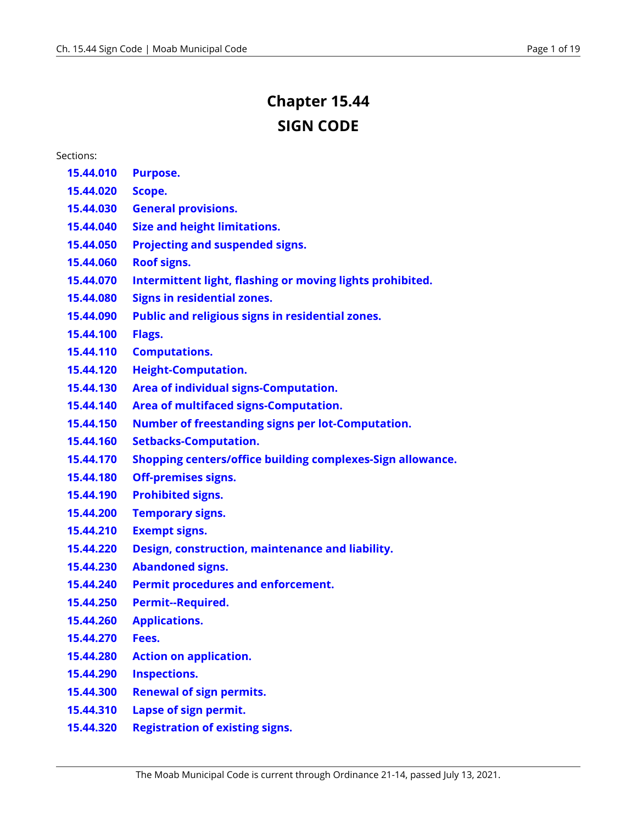# **Chapter 15.44 SIGN CODE**

#### Sections:

- **[15.44.010](#page-1-0)  Purpose.**
- **[15.44.020](#page-1-1)  Scope.**
- **15.44.030 [General provisions.](#page-2-0)**
- **15.44.040 [Size and height limitations.](#page-2-1)**
- **15.44.050 [Projecting and suspended signs.](#page-3-0)**
- **15.44.060 [Roof signs.](#page-3-1)**
- **15.44.070 [Intermittent light, flashing or moving lights prohibited.](#page-3-2)**
- **15.44.080 [Signs in residential zones.](#page-3-3)**
- **15.44.090 [Public and religious signs in residential zones.](#page-4-0)**
- **[15.44.100](#page-4-1)  Flags.**
- **15.44.110 [Computations.](#page-4-2)**
- **15.44.120 [Height-Computation.](#page-4-3)**
- **15.44.130 [Area of individual signs-Computation.](#page-5-0)**
- **15.44.140 [Area of multifaced signs-Computation.](#page-5-1)**
- **15.44.150 [Number of freestanding signs per lot-Computation.](#page-5-2)**
- **15.44.160 [Setbacks-Computation.](#page-5-3)**
- **15.44.170 [Shopping centers/office building complexes-Sign allowance.](#page-6-0)**
- **15.44.180 [Off-premises signs.](#page-6-1)**
- **15.44.190 [Prohibited signs.](#page-6-2)**
- **15.44.200 [Temporary signs.](#page-6-3)**
- **15.44.210 [Exempt signs.](#page-8-0)**
- **15.44.220 [Design, construction, maintenance and liability.](#page-9-0)**
- **15.44.230 [Abandoned signs.](#page-9-1)**
- **15.44.240 [Permit procedures and enforcement.](#page-10-0)**
- **15.44.250 [Permit--Required.](#page-10-1)**
- **15.44.260 [Applications.](#page-10-2)**
- **[15.44.270](#page-10-3)  Fees.**
- **15.44.280 [Action on application.](#page-11-0)**
- **15.44.290 [Inspections.](#page-11-1)**
- **15.44.300 [Renewal of sign permits.](#page-11-2)**
- **15.44.310 [Lapse of sign permit.](#page-11-3)**
- **15.44.320 [Registration of existing signs.](#page-12-0)**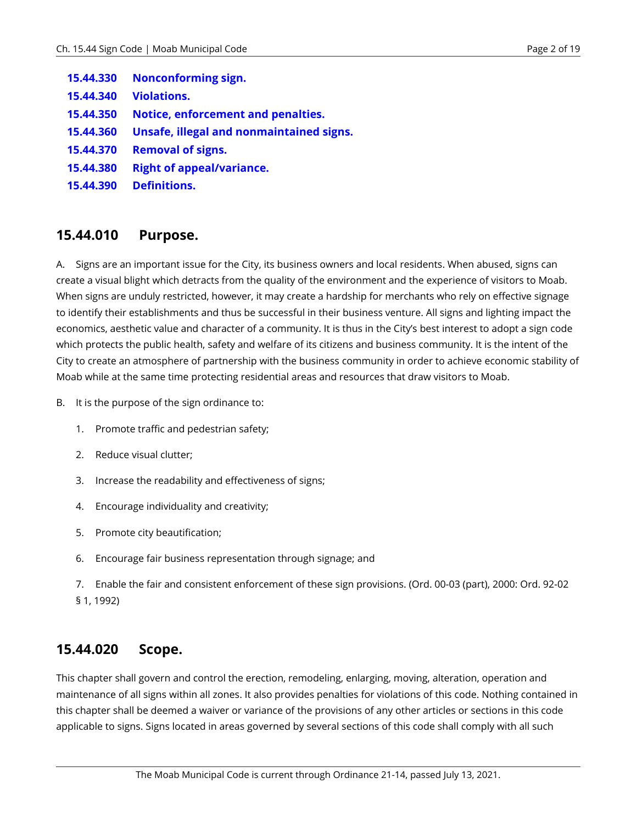- **15.44.330 [Nonconforming sign.](#page-12-1)**
- **15.44.340 [Violations.](#page-12-2)**
- **15.44.350 [Notice, enforcement and penalties.](#page-12-3)**
- **15.44.360 [Unsafe, illegal and nonmaintained signs.](#page-13-0)**
- **15.44.370 [Removal of signs.](#page-13-1)**
- **15.44.380 [Right of appeal/variance.](#page-14-0)**
- **15.44.390 [Definitions.](#page-15-0)**

#### <span id="page-1-0"></span>**15.44.010 Purpose.**

A. Signs are an important issue for the City, its business owners and local residents. When abused, signs can create a visual blight which detracts from the quality of the environment and the experience of visitors to Moab. When signs are unduly restricted, however, it may create a hardship for merchants who rely on effective signage to identify their establishments and thus be successful in their business venture. All signs and lighting impact the economics, aesthetic value and character of a community. It is thus in the City's best interest to adopt a sign code which protects the public health, safety and welfare of its citizens and business community. It is the intent of the City to create an atmosphere of partnership with the business community in order to achieve economic stability of Moab while at the same time protecting residential areas and resources that draw visitors to Moab.

- B. It is the purpose of the sign ordinance to:
	- 1. Promote traffic and pedestrian safety;
	- 2. Reduce visual clutter;
	- 3. Increase the readability and effectiveness of signs;
	- 4. Encourage individuality and creativity;
	- 5. Promote city beautification;
	- 6. Encourage fair business representation through signage; and
	- 7. Enable the fair and consistent enforcement of these sign provisions. (Ord. 00-03 (part), 2000: Ord. 92-02 § 1, 1992)

#### <span id="page-1-1"></span>**15.44.020 Scope.**

This chapter shall govern and control the erection, remodeling, enlarging, moving, alteration, operation and maintenance of all signs within all zones. It also provides penalties for violations of this code. Nothing contained in this chapter shall be deemed a waiver or variance of the provisions of any other articles or sections in this code applicable to signs. Signs located in areas governed by several sections of this code shall comply with all such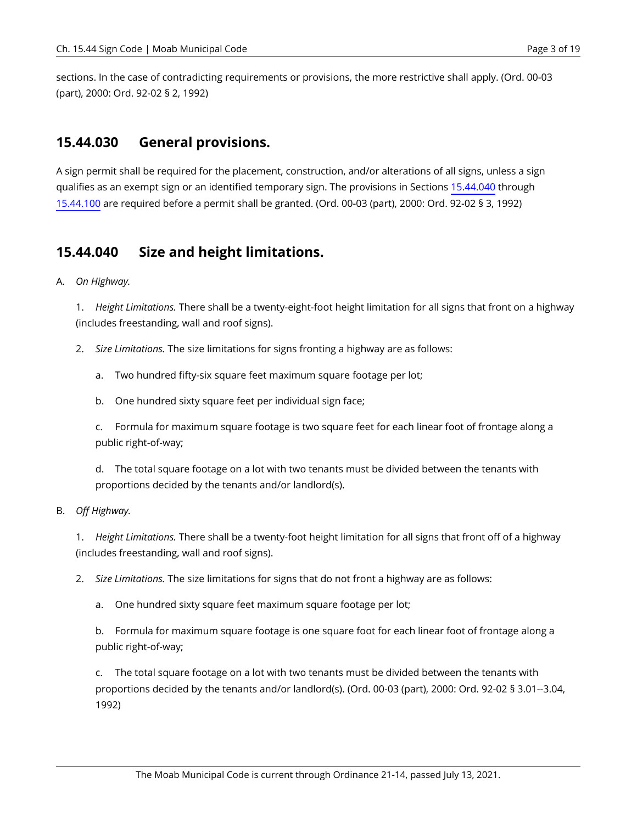sections. In the case of contradicting requirements or provisions, the more restrictive shall apply. (Ord. 00-03 (part), 2000: Ord. 92-02 § 2, 1992)

#### <span id="page-2-0"></span>**15.44.030 General provisions.**

A sign permit shall be required for the placement, construction, and/or alterations of all signs, unless a sign qualifies as an exempt sign or an identified temporary sign. The provisions in Sections [15.44.040](#page-2-1) through [15.44.100](#page-4-1) are required before a permit shall be granted. (Ord. 00-03 (part), 2000: Ord. 92-02 § 3, 1992)

#### <span id="page-2-1"></span>**15.44.040 Size and height limitations.**

A. *On Highway.* 

1. *Height Limitations.* There shall be a twenty-eight-foot height limitation for all signs that front on a highway (includes freestanding, wall and roof signs).

- 2. *Size Limitations.* The size limitations for signs fronting a highway are as follows:
	- a. Two hundred fifty-six square feet maximum square footage per lot;
	- b. One hundred sixty square feet per individual sign face;

c. Formula for maximum square footage is two square feet for each linear foot of frontage along a public right-of-way;

d. The total square footage on a lot with two tenants must be divided between the tenants with proportions decided by the tenants and/or landlord(s).

#### B. *Off Highway.*

1. *Height Limitations.* There shall be a twenty-foot height limitation for all signs that front off of a highway (includes freestanding, wall and roof signs).

2. *Size Limitations.* The size limitations for signs that do not front a highway are as follows:

a. One hundred sixty square feet maximum square footage per lot;

b. Formula for maximum square footage is one square foot for each linear foot of frontage along a public right-of-way;

c. The total square footage on a lot with two tenants must be divided between the tenants with proportions decided by the tenants and/or landlord(s). (Ord. 00-03 (part), 2000: Ord. 92-02 § 3.01--3.04, 1992)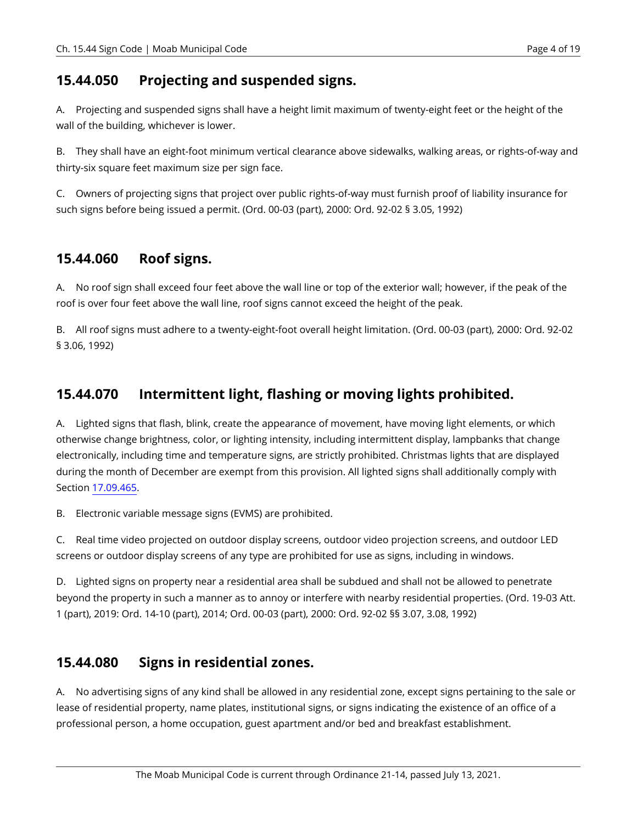#### <span id="page-3-0"></span>**15.44.050 Projecting and suspended signs.**

A. Projecting and suspended signs shall have a height limit maximum of twenty-eight feet or the height of the wall of the building, whichever is lower.

B. They shall have an eight-foot minimum vertical clearance above sidewalks, walking areas, or rights-of-way and thirty-six square feet maximum size per sign face.

C. Owners of projecting signs that project over public rights-of-way must furnish proof of liability insurance for such signs before being issued a permit. (Ord. 00-03 (part), 2000: Ord. 92-02 § 3.05, 1992)

# <span id="page-3-1"></span>**15.44.060 Roof signs.**

A. No roof sign shall exceed four feet above the wall line or top of the exterior wall; however, if the peak of the roof is over four feet above the wall line, roof signs cannot exceed the height of the peak.

B. All roof signs must adhere to a twenty-eight-foot overall height limitation. (Ord. 00-03 (part), 2000: Ord. 92-02 § 3.06, 1992)

# <span id="page-3-2"></span>**15.44.070 Intermittent light, flashing or moving lights prohibited.**

A. Lighted signs that flash, blink, create the appearance of movement, have moving light elements, or which otherwise change brightness, color, or lighting intensity, including intermittent display, lampbanks that change electronically, including time and temperature signs, are strictly prohibited. Christmas lights that are displayed during the month of December are exempt from this provision. All lighted signs shall additionally comply with Section [17.09.465.](https://moab.municipal.codes/Code/17.09.465)

B. Electronic variable message signs (EVMS) are prohibited.

C. Real time video projected on outdoor display screens, outdoor video projection screens, and outdoor LED screens or outdoor display screens of any type are prohibited for use as signs, including in windows.

D. Lighted signs on property near a residential area shall be subdued and shall not be allowed to penetrate beyond the property in such a manner as to annoy or interfere with nearby residential properties. (Ord. 19-03 Att. 1 (part), 2019: Ord. 14-10 (part), 2014; Ord. 00-03 (part), 2000: Ord. 92-02 §§ 3.07, 3.08, 1992)

#### <span id="page-3-3"></span>**15.44.080 Signs in residential zones.**

A. No advertising signs of any kind shall be allowed in any residential zone, except signs pertaining to the sale or lease of residential property, name plates, institutional signs, or signs indicating the existence of an office of a professional person, a home occupation, guest apartment and/or bed and breakfast establishment.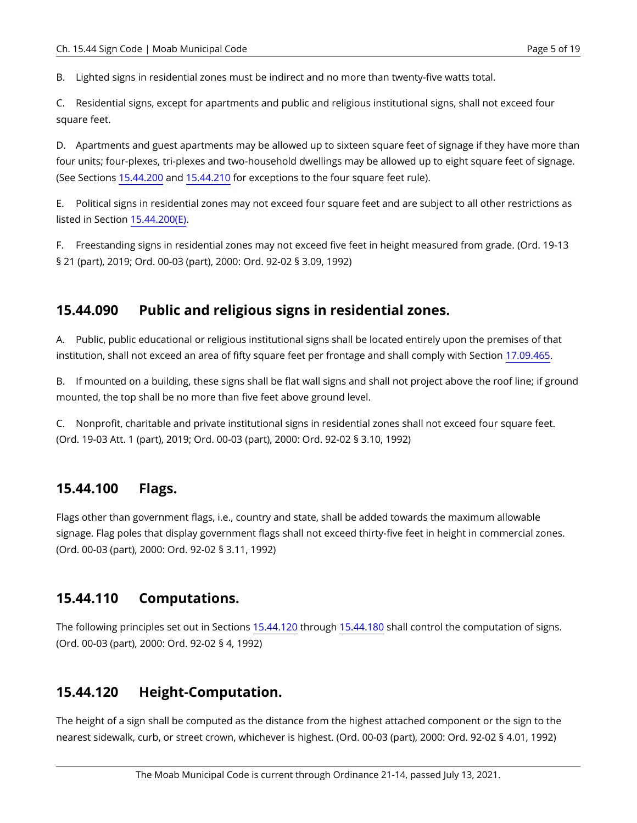B. Lighted signs in residential zones must be indirect and no more than twenty-five watts total.

C. Residential signs, except for apartments and public and religious institutional signs, shall not exceed four square feet.

D. Apartments and guest apartments may be allowed up to sixteen square feet of signage if they have more than four units; four-plexes, tri-plexes and two-household dwellings may be allowed up to eight square feet of signage. (See Sections [15.44.200](#page-6-3) and [15.44.210](#page-8-0) for exceptions to the four square feet rule).

E. Political signs in residential zones may not exceed four square feet and are subject to all other restrictions as listed in Section [15.44.200\(E\)](#page-7-0).

F. Freestanding signs in residential zones may not exceed five feet in height measured from grade. (Ord. 19-13 § 21 (part), 2019; Ord. 00-03 (part), 2000: Ord. 92-02 § 3.09, 1992)

# <span id="page-4-0"></span>**15.44.090 Public and religious signs in residential zones.**

A. Public, public educational or religious institutional signs shall be located entirely upon the premises of that institution, shall not exceed an area of fifty square feet per frontage and shall comply with Section [17.09.465](https://moab.municipal.codes/Code/17.09.465).

B. If mounted on a building, these signs shall be flat wall signs and shall not project above the roof line; if ground mounted, the top shall be no more than five feet above ground level.

C. Nonprofit, charitable and private institutional signs in residential zones shall not exceed four square feet. (Ord. 19-03 Att. 1 (part), 2019; Ord. 00-03 (part), 2000: Ord. 92-02 § 3.10, 1992)

# <span id="page-4-1"></span>**15.44.100 Flags.**

Flags other than government flags, i.e., country and state, shall be added towards the maximum allowable signage. Flag poles that display government flags shall not exceed thirty-five feet in height in commercial zones. (Ord. 00-03 (part), 2000: Ord. 92-02 § 3.11, 1992)

# <span id="page-4-2"></span>**15.44.110 Computations.**

The following principles set out in Sections [15.44.120](#page-4-3) through [15.44.180](#page-6-1) shall control the computation of signs. (Ord. 00-03 (part), 2000: Ord. 92-02 § 4, 1992)

# <span id="page-4-3"></span>**15.44.120 Height-Computation.**

The height of a sign shall be computed as the distance from the highest attached component or the sign to the nearest sidewalk, curb, or street crown, whichever is highest. (Ord. 00-03 (part), 2000: Ord. 92-02 § 4.01, 1992)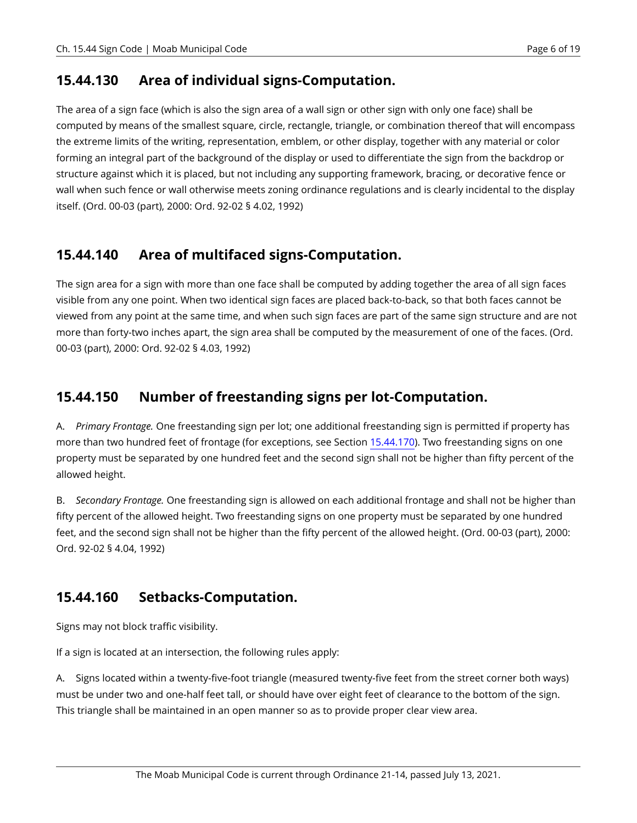### <span id="page-5-0"></span>**15.44.130 Area of individual signs-Computation.**

The area of a sign face (which is also the sign area of a wall sign or other sign with only one face) shall be computed by means of the smallest square, circle, rectangle, triangle, or combination thereof that will encompass the extreme limits of the writing, representation, emblem, or other display, together with any material or color forming an integral part of the background of the display or used to differentiate the sign from the backdrop or structure against which it is placed, but not including any supporting framework, bracing, or decorative fence or wall when such fence or wall otherwise meets zoning ordinance regulations and is clearly incidental to the display itself. (Ord. 00-03 (part), 2000: Ord. 92-02 § 4.02, 1992)

# <span id="page-5-1"></span>**15.44.140 Area of multifaced signs-Computation.**

The sign area for a sign with more than one face shall be computed by adding together the area of all sign faces visible from any one point. When two identical sign faces are placed back-to-back, so that both faces cannot be viewed from any point at the same time, and when such sign faces are part of the same sign structure and are not more than forty-two inches apart, the sign area shall be computed by the measurement of one of the faces. (Ord. 00-03 (part), 2000: Ord. 92-02 § 4.03, 1992)

# <span id="page-5-2"></span>**15.44.150 Number of freestanding signs per lot-Computation.**

A. *Primary Frontage.* One freestanding sign per lot; one additional freestanding sign is permitted if property has more than two hundred feet of frontage (for exceptions, see Section [15.44.170\)](#page-6-0). Two freestanding signs on one property must be separated by one hundred feet and the second sign shall not be higher than fifty percent of the allowed height.

B. *Secondary Frontage.* One freestanding sign is allowed on each additional frontage and shall not be higher than fifty percent of the allowed height. Two freestanding signs on one property must be separated by one hundred feet, and the second sign shall not be higher than the fifty percent of the allowed height. (Ord. 00-03 (part), 2000: Ord. 92-02 § 4.04, 1992)

# <span id="page-5-3"></span>**15.44.160 Setbacks-Computation.**

Signs may not block traffic visibility.

If a sign is located at an intersection, the following rules apply:

A. Signs located within a twenty-five-foot triangle (measured twenty-five feet from the street corner both ways) must be under two and one-half feet tall, or should have over eight feet of clearance to the bottom of the sign. This triangle shall be maintained in an open manner so as to provide proper clear view area.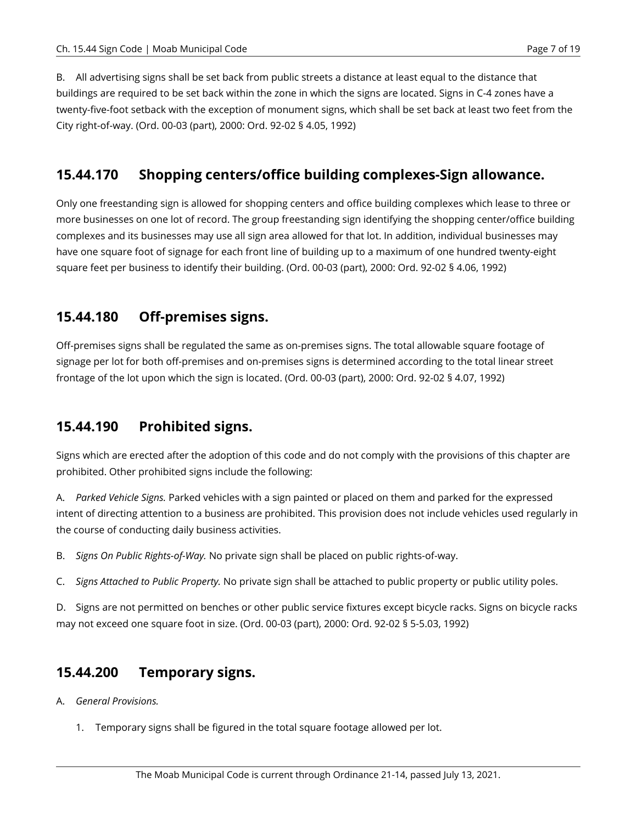B. All advertising signs shall be set back from public streets a distance at least equal to the distance that buildings are required to be set back within the zone in which the signs are located. Signs in C-4 zones have a twenty-five-foot setback with the exception of monument signs, which shall be set back at least two feet from the City right-of-way. (Ord. 00-03 (part), 2000: Ord. 92-02 § 4.05, 1992)

### <span id="page-6-0"></span>**15.44.170 Shopping centers/office building complexes-Sign allowance.**

Only one freestanding sign is allowed for shopping centers and office building complexes which lease to three or more businesses on one lot of record. The group freestanding sign identifying the shopping center/office building complexes and its businesses may use all sign area allowed for that lot. In addition, individual businesses may have one square foot of signage for each front line of building up to a maximum of one hundred twenty-eight square feet per business to identify their building. (Ord. 00-03 (part), 2000: Ord. 92-02 § 4.06, 1992)

#### <span id="page-6-1"></span>**15.44.180 Off-premises signs.**

Off-premises signs shall be regulated the same as on-premises signs. The total allowable square footage of signage per lot for both off-premises and on-premises signs is determined according to the total linear street frontage of the lot upon which the sign is located. (Ord. 00-03 (part), 2000: Ord. 92-02 § 4.07, 1992)

# <span id="page-6-2"></span>**15.44.190 Prohibited signs.**

Signs which are erected after the adoption of this code and do not comply with the provisions of this chapter are prohibited. Other prohibited signs include the following:

A. *Parked Vehicle Signs.* Parked vehicles with a sign painted or placed on them and parked for the expressed intent of directing attention to a business are prohibited. This provision does not include vehicles used regularly in the course of conducting daily business activities.

B. *Signs On Public Rights-of-Way.* No private sign shall be placed on public rights-of-way.

C. *Signs Attached to Public Property.* No private sign shall be attached to public property or public utility poles.

D. Signs are not permitted on benches or other public service fixtures except bicycle racks. Signs on bicycle racks may not exceed one square foot in size. (Ord. 00-03 (part), 2000: Ord. 92-02 § 5-5.03, 1992)

# <span id="page-6-3"></span>**15.44.200 Temporary signs.**

A. *General Provisions.* 

1. Temporary signs shall be figured in the total square footage allowed per lot.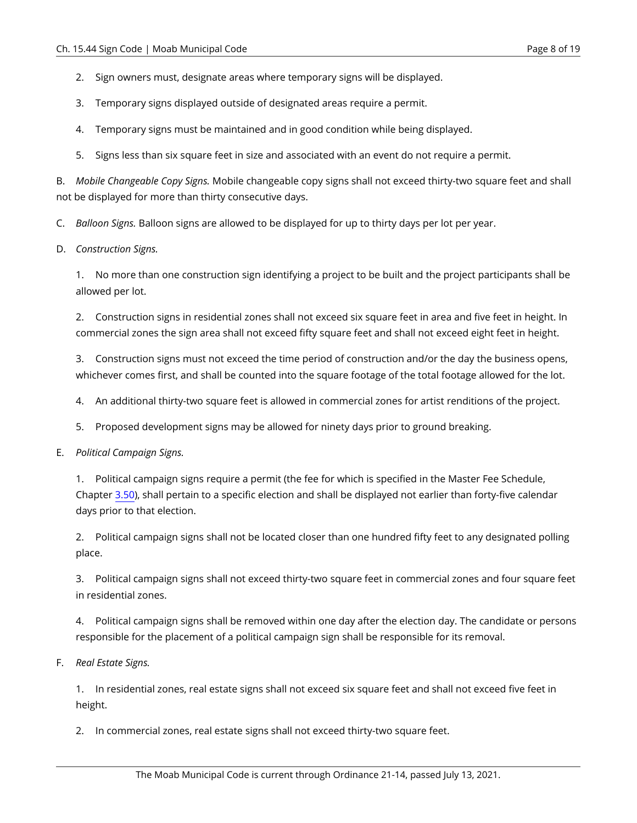- 2. Sign owners must, designate areas where temporary signs will be displayed.
- 3. Temporary signs displayed outside of designated areas require a permit.
- 4. Temporary signs must be maintained and in good condition while being displayed.
- 5. Signs less than six square feet in size and associated with an event do not require a permit.

B. *Mobile Changeable Copy Signs.* Mobile changeable copy signs shall not exceed thirty-two square feet and shall not be displayed for more than thirty consecutive days.

C. *Balloon Signs.* Balloon signs are allowed to be displayed for up to thirty days per lot per year.

D. *Construction Signs.* 

1. No more than one construction sign identifying a project to be built and the project participants shall be allowed per lot.

2. Construction signs in residential zones shall not exceed six square feet in area and five feet in height. In commercial zones the sign area shall not exceed fifty square feet and shall not exceed eight feet in height.

3. Construction signs must not exceed the time period of construction and/or the day the business opens, whichever comes first, and shall be counted into the square footage of the total footage allowed for the lot.

- 4. An additional thirty-two square feet is allowed in commercial zones for artist renditions of the project.
- 5. Proposed development signs may be allowed for ninety days prior to ground breaking.
- <span id="page-7-0"></span>E. *Political Campaign Signs.*

1. Political campaign signs require a permit (the fee for which is specified in the Master Fee Schedule, Chapter [3.50](https://moab.municipal.codes/Code/3.50)), shall pertain to a specific election and shall be displayed not earlier than forty-five calendar days prior to that election.

2. Political campaign signs shall not be located closer than one hundred fifty feet to any designated polling place.

3. Political campaign signs shall not exceed thirty-two square feet in commercial zones and four square feet in residential zones.

4. Political campaign signs shall be removed within one day after the election day. The candidate or persons responsible for the placement of a political campaign sign shall be responsible for its removal.

F. *Real Estate Signs.* 

1. In residential zones, real estate signs shall not exceed six square feet and shall not exceed five feet in height.

2. In commercial zones, real estate signs shall not exceed thirty-two square feet.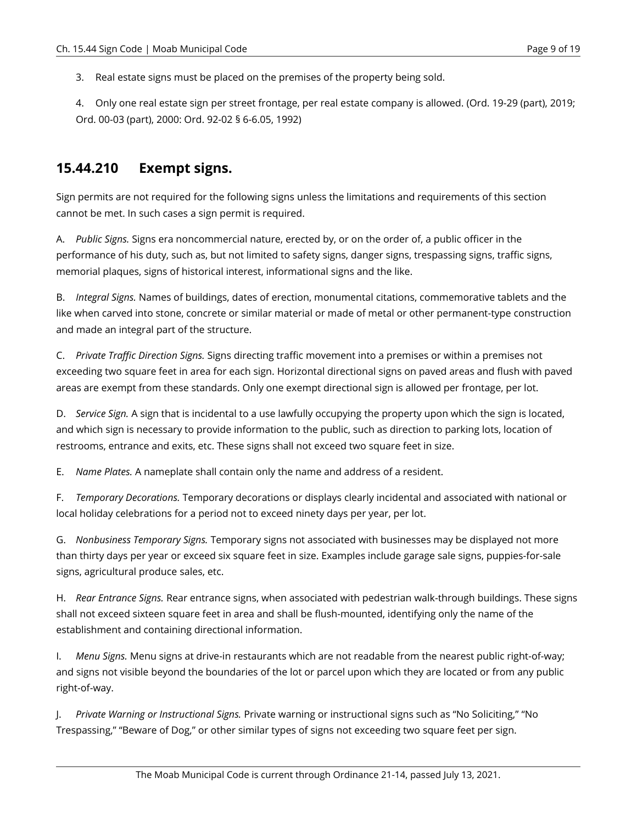3. Real estate signs must be placed on the premises of the property being sold.

4. Only one real estate sign per street frontage, per real estate company is allowed. (Ord. 19-29 (part), 2019; Ord. 00-03 (part), 2000: Ord. 92-02 § 6-6.05, 1992)

#### <span id="page-8-0"></span>**15.44.210 Exempt signs.**

Sign permits are not required for the following signs unless the limitations and requirements of this section cannot be met. In such cases a sign permit is required.

A. *Public Signs.* Signs era noncommercial nature, erected by, or on the order of, a public officer in the performance of his duty, such as, but not limited to safety signs, danger signs, trespassing signs, traffic signs, memorial plaques, signs of historical interest, informational signs and the like.

B. *Integral Signs.* Names of buildings, dates of erection, monumental citations, commemorative tablets and the like when carved into stone, concrete or similar material or made of metal or other permanent-type construction and made an integral part of the structure.

C. *Private Traffic Direction Signs.* Signs directing traffic movement into a premises or within a premises not exceeding two square feet in area for each sign. Horizontal directional signs on paved areas and flush with paved areas are exempt from these standards. Only one exempt directional sign is allowed per frontage, per lot.

D. *Service Sign.* A sign that is incidental to a use lawfully occupying the property upon which the sign is located, and which sign is necessary to provide information to the public, such as direction to parking lots, location of restrooms, entrance and exits, etc. These signs shall not exceed two square feet in size.

E. *Name Plates.* A nameplate shall contain only the name and address of a resident.

F. *Temporary Decorations.* Temporary decorations or displays clearly incidental and associated with national or local holiday celebrations for a period not to exceed ninety days per year, per lot.

G. *Nonbusiness Temporary Signs.* Temporary signs not associated with businesses may be displayed not more than thirty days per year or exceed six square feet in size. Examples include garage sale signs, puppies-for-sale signs, agricultural produce sales, etc.

H. *Rear Entrance Signs.* Rear entrance signs, when associated with pedestrian walk-through buildings. These signs shall not exceed sixteen square feet in area and shall be flush-mounted, identifying only the name of the establishment and containing directional information.

I. *Menu Signs.* Menu signs at drive-in restaurants which are not readable from the nearest public right-of-way; and signs not visible beyond the boundaries of the lot or parcel upon which they are located or from any public right-of-way.

J. *Private Warning or Instructional Signs.* Private warning or instructional signs such as "No Soliciting," "No Trespassing," "Beware of Dog," or other similar types of signs not exceeding two square feet per sign.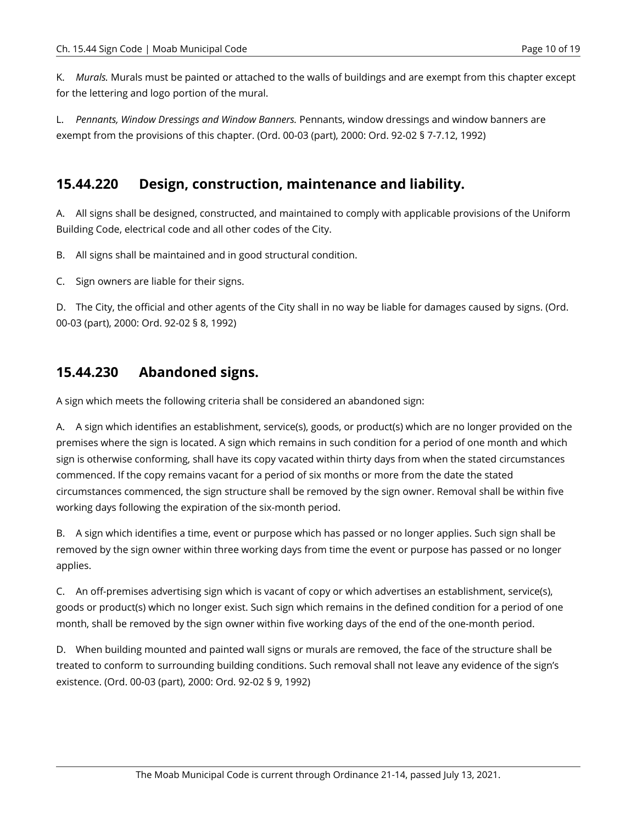K. *Murals.* Murals must be painted or attached to the walls of buildings and are exempt from this chapter except for the lettering and logo portion of the mural.

L. *Pennants, Window Dressings and Window Banners.* Pennants, window dressings and window banners are exempt from the provisions of this chapter. (Ord. 00-03 (part), 2000: Ord. 92-02 § 7-7.12, 1992)

### <span id="page-9-0"></span>**15.44.220 Design, construction, maintenance and liability.**

A. All signs shall be designed, constructed, and maintained to comply with applicable provisions of the Uniform Building Code, electrical code and all other codes of the City.

B. All signs shall be maintained and in good structural condition.

C. Sign owners are liable for their signs.

D. The City, the official and other agents of the City shall in no way be liable for damages caused by signs. (Ord. 00-03 (part), 2000: Ord. 92-02 § 8, 1992)

#### <span id="page-9-1"></span>**15.44.230 Abandoned signs.**

A sign which meets the following criteria shall be considered an abandoned sign:

A. A sign which identifies an establishment, service(s), goods, or product(s) which are no longer provided on the premises where the sign is located. A sign which remains in such condition for a period of one month and which sign is otherwise conforming, shall have its copy vacated within thirty days from when the stated circumstances commenced. If the copy remains vacant for a period of six months or more from the date the stated circumstances commenced, the sign structure shall be removed by the sign owner. Removal shall be within five working days following the expiration of the six-month period.

B. A sign which identifies a time, event or purpose which has passed or no longer applies. Such sign shall be removed by the sign owner within three working days from time the event or purpose has passed or no longer applies.

C. An off-premises advertising sign which is vacant of copy or which advertises an establishment, service(s), goods or product(s) which no longer exist. Such sign which remains in the defined condition for a period of one month, shall be removed by the sign owner within five working days of the end of the one-month period.

D. When building mounted and painted wall signs or murals are removed, the face of the structure shall be treated to conform to surrounding building conditions. Such removal shall not leave any evidence of the sign's existence. (Ord. 00-03 (part), 2000: Ord. 92-02 § 9, 1992)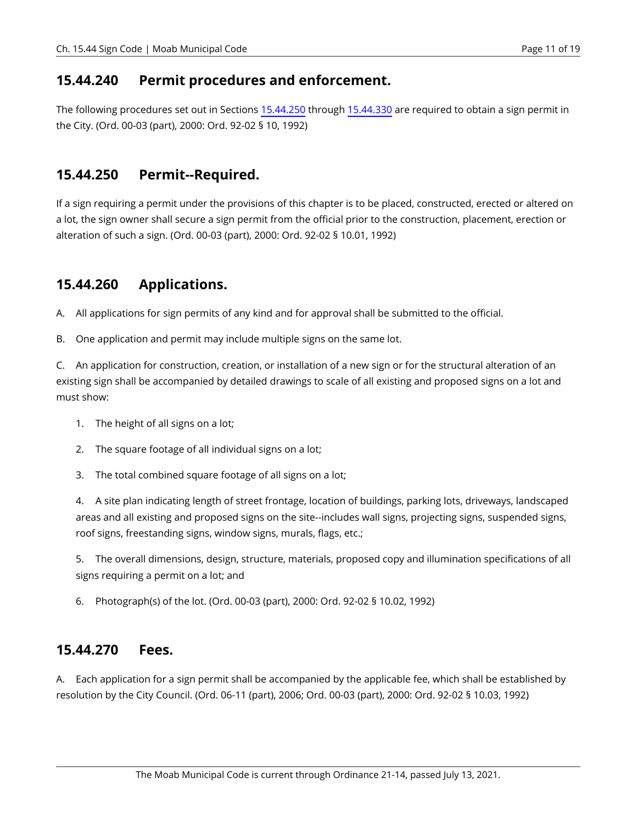#### <span id="page-10-0"></span>**15.44.240 Permit procedures and enforcement.**

The following procedures set out in Sections [15.44.250](#page-10-1) through [15.44.330](#page-12-1) are required to obtain a sign permit in the City. (Ord. 00-03 (part), 2000: Ord. 92-02 § 10, 1992)

#### <span id="page-10-1"></span>**15.44.250 Permit--Required.**

If a sign requiring a permit under the provisions of this chapter is to be placed, constructed, erected or altered on a lot, the sign owner shall secure a sign permit from the official prior to the construction, placement, erection or alteration of such a sign. (Ord. 00-03 (part), 2000: Ord. 92-02 § 10.01, 1992)

# <span id="page-10-2"></span>**15.44.260 Applications.**

A. All applications for sign permits of any kind and for approval shall be submitted to the official.

B. One application and permit may include multiple signs on the same lot.

C. An application for construction, creation, or installation of a new sign or for the structural alteration of an existing sign shall be accompanied by detailed drawings to scale of all existing and proposed signs on a lot and must show:

- 1. The height of all signs on a lot;
- 2. The square footage of all individual signs on a lot;
- 3. The total combined square footage of all signs on a lot;

4. A site plan indicating length of street frontage, location of buildings, parking lots, driveways, landscaped areas and all existing and proposed signs on the site--includes wall signs, projecting signs, suspended signs, roof signs, freestanding signs, window signs, murals, flags, etc.;

5. The overall dimensions, design, structure, materials, proposed copy and illumination specifications of all signs requiring a permit on a lot; and

6. Photograph(s) of the lot. (Ord. 00-03 (part), 2000: Ord. 92-02 § 10.02, 1992)

#### <span id="page-10-3"></span>**15.44.270 Fees.**

A. Each application for a sign permit shall be accompanied by the applicable fee, which shall be established by resolution by the City Council. (Ord. 06-11 (part), 2006; Ord. 00-03 (part), 2000: Ord. 92-02 § 10.03, 1992)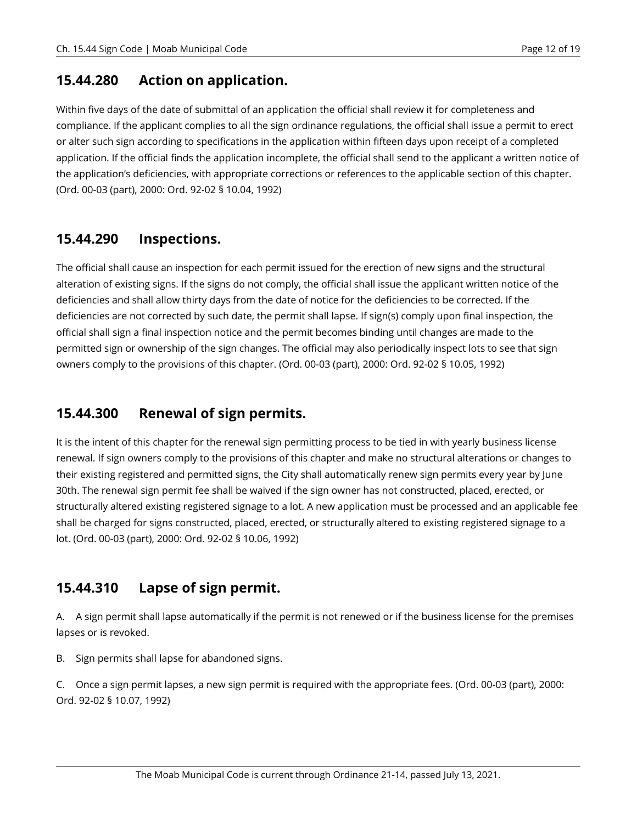#### <span id="page-11-0"></span>**15.44.280 Action on application.**

Within five days of the date of submittal of an application the official shall review it for completeness and compliance. If the applicant complies to all the sign ordinance regulations, the official shall issue a permit to erect or alter such sign according to specifications in the application within fifteen days upon receipt of a completed application. If the official finds the application incomplete, the official shall send to the applicant a written notice of the application's deficiencies, with appropriate corrections or references to the applicable section of this chapter. (Ord. 00-03 (part), 2000: Ord. 92-02 § 10.04, 1992)

# <span id="page-11-1"></span>**15.44.290 Inspections.**

The official shall cause an inspection for each permit issued for the erection of new signs and the structural alteration of existing signs. If the signs do not comply, the official shall issue the applicant written notice of the deficiencies and shall allow thirty days from the date of notice for the deficiencies to be corrected. If the deficiencies are not corrected by such date, the permit shall lapse. If sign(s) comply upon final inspection, the official shall sign a final inspection notice and the permit becomes binding until changes are made to the permitted sign or ownership of the sign changes. The official may also periodically inspect lots to see that sign owners comply to the provisions of this chapter. (Ord. 00-03 (part), 2000: Ord. 92-02 § 10.05, 1992)

# <span id="page-11-2"></span>**15.44.300 Renewal of sign permits.**

It is the intent of this chapter for the renewal sign permitting process to be tied in with yearly business license renewal. If sign owners comply to the provisions of this chapter and make no structural alterations or changes to their existing registered and permitted signs, the City shall automatically renew sign permits every year by June 30th. The renewal sign permit fee shall be waived if the sign owner has not constructed, placed, erected, or structurally altered existing registered signage to a lot. A new application must be processed and an applicable fee shall be charged for signs constructed, placed, erected, or structurally altered to existing registered signage to a lot. (Ord. 00-03 (part), 2000: Ord. 92-02 § 10.06, 1992)

# <span id="page-11-3"></span>**15.44.310 Lapse of sign permit.**

A. A sign permit shall lapse automatically if the permit is not renewed or if the business license for the premises lapses or is revoked.

B. Sign permits shall lapse for abandoned signs.

C. Once a sign permit lapses, a new sign permit is required with the appropriate fees. (Ord. 00-03 (part), 2000: Ord. 92-02 § 10.07, 1992)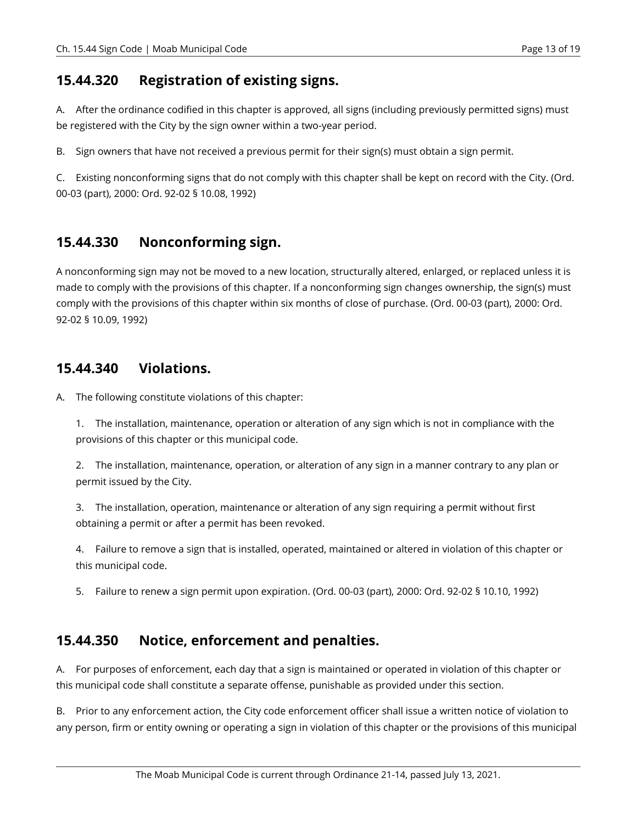#### <span id="page-12-0"></span>**15.44.320 Registration of existing signs.**

A. After the ordinance codified in this chapter is approved, all signs (including previously permitted signs) must be registered with the City by the sign owner within a two-year period.

B. Sign owners that have not received a previous permit for their sign(s) must obtain a sign permit.

C. Existing nonconforming signs that do not comply with this chapter shall be kept on record with the City. (Ord. 00-03 (part), 2000: Ord. 92-02 § 10.08, 1992)

#### <span id="page-12-1"></span>**15.44.330 Nonconforming sign.**

A nonconforming sign may not be moved to a new location, structurally altered, enlarged, or replaced unless it is made to comply with the provisions of this chapter. If a nonconforming sign changes ownership, the sign(s) must comply with the provisions of this chapter within six months of close of purchase. (Ord. 00-03 (part), 2000: Ord. 92-02 § 10.09, 1992)

#### <span id="page-12-2"></span>**15.44.340 Violations.**

A. The following constitute violations of this chapter:

1. The installation, maintenance, operation or alteration of any sign which is not in compliance with the provisions of this chapter or this municipal code.

2. The installation, maintenance, operation, or alteration of any sign in a manner contrary to any plan or permit issued by the City.

3. The installation, operation, maintenance or alteration of any sign requiring a permit without first obtaining a permit or after a permit has been revoked.

4. Failure to remove a sign that is installed, operated, maintained or altered in violation of this chapter or this municipal code.

5. Failure to renew a sign permit upon expiration. (Ord. 00-03 (part), 2000: Ord. 92-02 § 10.10, 1992)

#### <span id="page-12-3"></span>**15.44.350 Notice, enforcement and penalties.**

A. For purposes of enforcement, each day that a sign is maintained or operated in violation of this chapter or this municipal code shall constitute a separate offense, punishable as provided under this section.

B. Prior to any enforcement action, the City code enforcement officer shall issue a written notice of violation to any person, firm or entity owning or operating a sign in violation of this chapter or the provisions of this municipal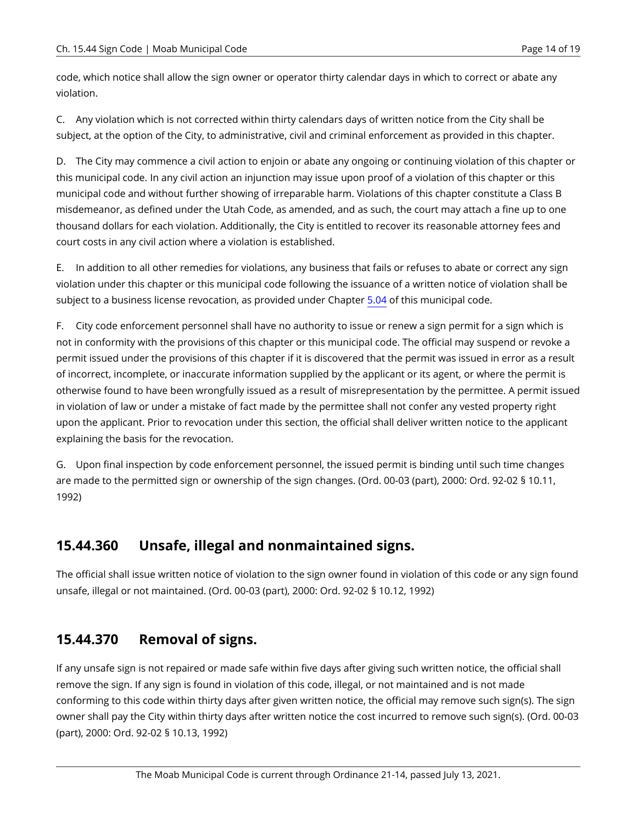code, which notice shall allow the sign owner or operator thirty calendar days in which to correct or abate any violation.

C. Any violation which is not corrected within thirty calendars days of written notice from the City shall be subject, at the option of the City, to administrative, civil and criminal enforcement as provided in this chapter.

D. The City may commence a civil action to enjoin or abate any ongoing or continuing violation of this chapter or this municipal code. In any civil action an injunction may issue upon proof of a violation of this chapter or this municipal code and without further showing of irreparable harm. Violations of this chapter constitute a Class B misdemeanor, as defined under the Utah Code, as amended, and as such, the court may attach a fine up to one thousand dollars for each violation. Additionally, the City is entitled to recover its reasonable attorney fees and court costs in any civil action where a violation is established.

E. In addition to all other remedies for violations, any business that fails or refuses to abate or correct any sign violation under this chapter or this municipal code following the issuance of a written notice of violation shall be subject to a business license revocation, as provided under Chapter [5.04](https://moab.municipal.codes/Code/5.04) of this municipal code.

F. City code enforcement personnel shall have no authority to issue or renew a sign permit for a sign which is not in conformity with the provisions of this chapter or this municipal code. The official may suspend or revoke a permit issued under the provisions of this chapter if it is discovered that the permit was issued in error as a result of incorrect, incomplete, or inaccurate information supplied by the applicant or its agent, or where the permit is otherwise found to have been wrongfully issued as a result of misrepresentation by the permittee. A permit issued in violation of law or under a mistake of fact made by the permittee shall not confer any vested property right upon the applicant. Prior to revocation under this section, the official shall deliver written notice to the applicant explaining the basis for the revocation.

G. Upon final inspection by code enforcement personnel, the issued permit is binding until such time changes are made to the permitted sign or ownership of the sign changes. (Ord. 00-03 (part), 2000: Ord. 92-02 § 10.11, 1992)

# <span id="page-13-0"></span>**15.44.360 Unsafe, illegal and nonmaintained signs.**

The official shall issue written notice of violation to the sign owner found in violation of this code or any sign found unsafe, illegal or not maintained. (Ord. 00-03 (part), 2000: Ord. 92-02 § 10.12, 1992)

# <span id="page-13-1"></span>**15.44.370 Removal of signs.**

If any unsafe sign is not repaired or made safe within five days after giving such written notice, the official shall remove the sign. If any sign is found in violation of this code, illegal, or not maintained and is not made conforming to this code within thirty days after given written notice, the official may remove such sign(s). The sign owner shall pay the City within thirty days after written notice the cost incurred to remove such sign(s). (Ord. 00-03 (part), 2000: Ord. 92-02 § 10.13, 1992)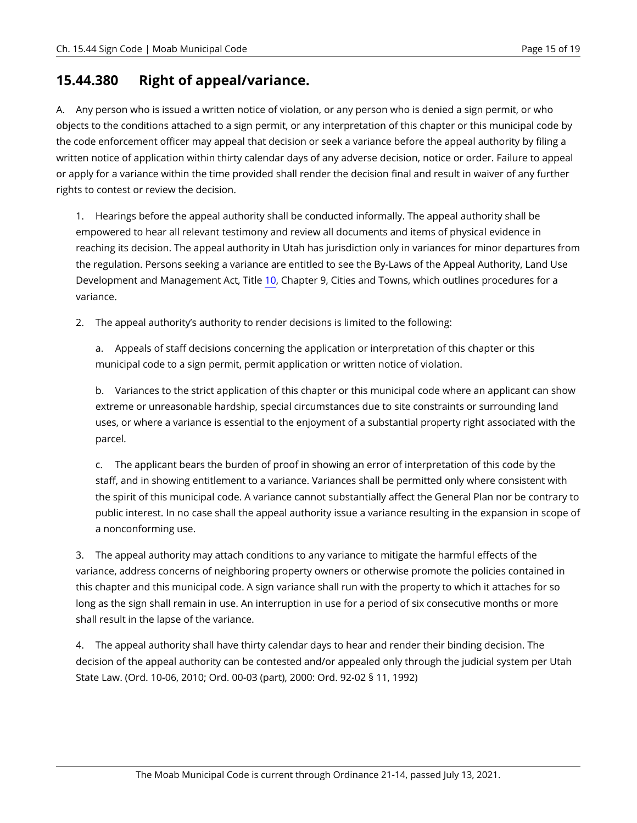### <span id="page-14-0"></span>**15.44.380 Right of appeal/variance.**

A. Any person who is issued a written notice of violation, or any person who is denied a sign permit, or who objects to the conditions attached to a sign permit, or any interpretation of this chapter or this municipal code by the code enforcement officer may appeal that decision or seek a variance before the appeal authority by filing a written notice of application within thirty calendar days of any adverse decision, notice or order. Failure to appeal or apply for a variance within the time provided shall render the decision final and result in waiver of any further rights to contest or review the decision.

1. Hearings before the appeal authority shall be conducted informally. The appeal authority shall be empowered to hear all relevant testimony and review all documents and items of physical evidence in reaching its decision. The appeal authority in Utah has jurisdiction only in variances for minor departures from the regulation. Persons seeking a variance are entitled to see the By-Laws of the Appeal Authority, Land Use Development and Management Act, Title [10](https://moab.municipal.codes/Code/10), Chapter 9, Cities and Towns, which outlines procedures for a variance.

2. The appeal authority's authority to render decisions is limited to the following:

a. Appeals of staff decisions concerning the application or interpretation of this chapter or this municipal code to a sign permit, permit application or written notice of violation.

b. Variances to the strict application of this chapter or this municipal code where an applicant can show extreme or unreasonable hardship, special circumstances due to site constraints or surrounding land uses, or where a variance is essential to the enjoyment of a substantial property right associated with the parcel.

c. The applicant bears the burden of proof in showing an error of interpretation of this code by the staff, and in showing entitlement to a variance. Variances shall be permitted only where consistent with the spirit of this municipal code. A variance cannot substantially affect the General Plan nor be contrary to public interest. In no case shall the appeal authority issue a variance resulting in the expansion in scope of a nonconforming use.

3. The appeal authority may attach conditions to any variance to mitigate the harmful effects of the variance, address concerns of neighboring property owners or otherwise promote the policies contained in this chapter and this municipal code. A sign variance shall run with the property to which it attaches for so long as the sign shall remain in use. An interruption in use for a period of six consecutive months or more shall result in the lapse of the variance.

4. The appeal authority shall have thirty calendar days to hear and render their binding decision. The decision of the appeal authority can be contested and/or appealed only through the judicial system per Utah State Law. (Ord. 10-06, 2010; Ord. 00-03 (part), 2000: Ord. 92-02 § 11, 1992)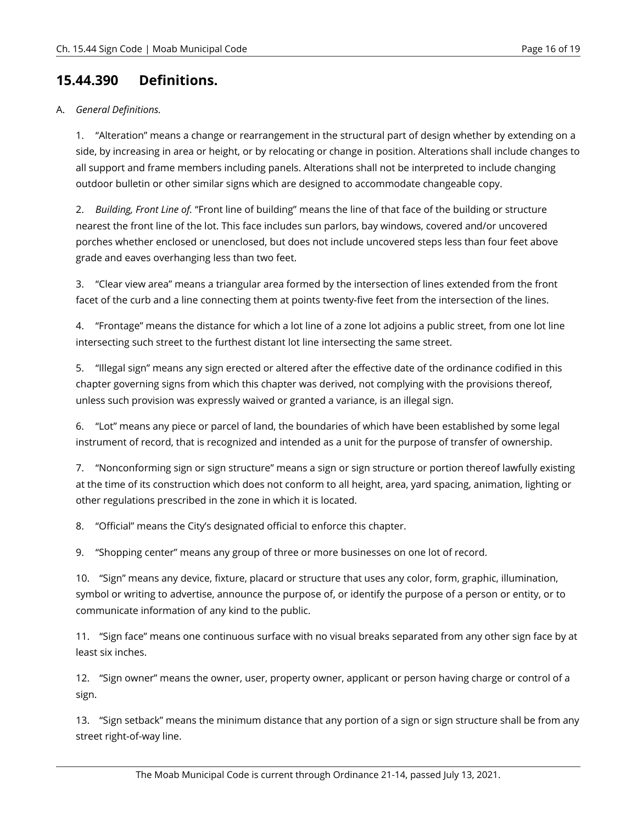### <span id="page-15-0"></span>**15.44.390 Definitions.**

#### A. *General Definitions.*

1. "Alteration" means a change or rearrangement in the structural part of design whether by extending on a side, by increasing in area or height, or by relocating or change in position. Alterations shall include changes to all support and frame members including panels. Alterations shall not be interpreted to include changing outdoor bulletin or other similar signs which are designed to accommodate changeable copy.

2. *Building, Front Line of.* "Front line of building" means the line of that face of the building or structure nearest the front line of the lot. This face includes sun parlors, bay windows, covered and/or uncovered porches whether enclosed or unenclosed, but does not include uncovered steps less than four feet above grade and eaves overhanging less than two feet.

3. "Clear view area" means a triangular area formed by the intersection of lines extended from the front facet of the curb and a line connecting them at points twenty-five feet from the intersection of the lines.

4. "Frontage" means the distance for which a lot line of a zone lot adjoins a public street, from one lot line intersecting such street to the furthest distant lot line intersecting the same street.

5. "Illegal sign" means any sign erected or altered after the effective date of the ordinance codified in this chapter governing signs from which this chapter was derived, not complying with the provisions thereof, unless such provision was expressly waived or granted a variance, is an illegal sign.

6. "Lot" means any piece or parcel of land, the boundaries of which have been established by some legal instrument of record, that is recognized and intended as a unit for the purpose of transfer of ownership.

7. "Nonconforming sign or sign structure" means a sign or sign structure or portion thereof lawfully existing at the time of its construction which does not conform to all height, area, yard spacing, animation, lighting or other regulations prescribed in the zone in which it is located.

8. "Official" means the City's designated official to enforce this chapter.

9. "Shopping center" means any group of three or more businesses on one lot of record.

10. "Sign" means any device, fixture, placard or structure that uses any color, form, graphic, illumination, symbol or writing to advertise, announce the purpose of, or identify the purpose of a person or entity, or to communicate information of any kind to the public.

11. "Sign face" means one continuous surface with no visual breaks separated from any other sign face by at least six inches.

12. "Sign owner" means the owner, user, property owner, applicant or person having charge or control of a sign.

13. "Sign setback" means the minimum distance that any portion of a sign or sign structure shall be from any street right-of-way line.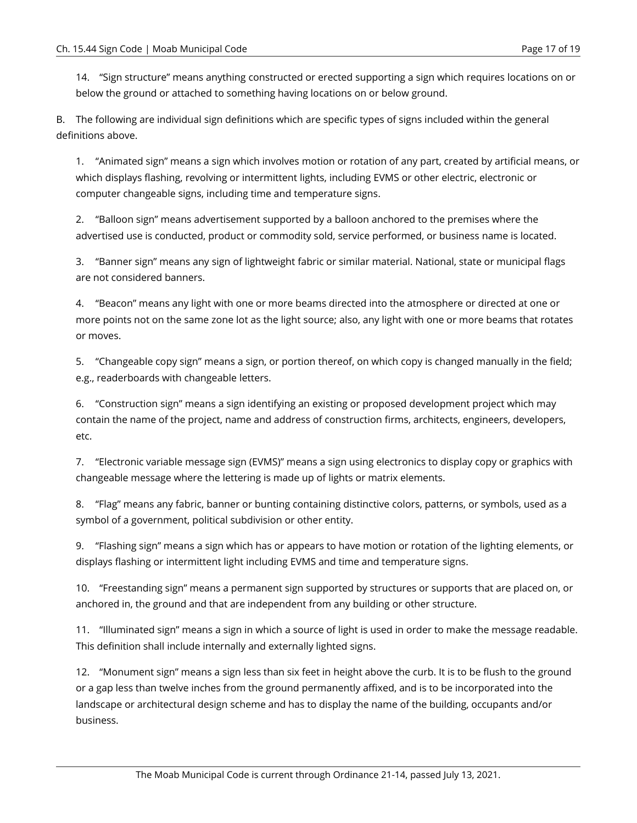14. "Sign structure" means anything constructed or erected supporting a sign which requires locations on or below the ground or attached to something having locations on or below ground.

B. The following are individual sign definitions which are specific types of signs included within the general definitions above.

1. "Animated sign" means a sign which involves motion or rotation of any part, created by artificial means, or which displays flashing, revolving or intermittent lights, including EVMS or other electric, electronic or computer changeable signs, including time and temperature signs.

2. "Balloon sign" means advertisement supported by a balloon anchored to the premises where the advertised use is conducted, product or commodity sold, service performed, or business name is located.

3. "Banner sign" means any sign of lightweight fabric or similar material. National, state or municipal flags are not considered banners.

4. "Beacon" means any light with one or more beams directed into the atmosphere or directed at one or more points not on the same zone lot as the light source; also, any light with one or more beams that rotates or moves.

5. "Changeable copy sign" means a sign, or portion thereof, on which copy is changed manually in the field; e.g., readerboards with changeable letters.

6. "Construction sign" means a sign identifying an existing or proposed development project which may contain the name of the project, name and address of construction firms, architects, engineers, developers, etc.

7. "Electronic variable message sign (EVMS)" means a sign using electronics to display copy or graphics with changeable message where the lettering is made up of lights or matrix elements.

8. "Flag" means any fabric, banner or bunting containing distinctive colors, patterns, or symbols, used as a symbol of a government, political subdivision or other entity.

9. "Flashing sign" means a sign which has or appears to have motion or rotation of the lighting elements, or displays flashing or intermittent light including EVMS and time and temperature signs.

10. "Freestanding sign" means a permanent sign supported by structures or supports that are placed on, or anchored in, the ground and that are independent from any building or other structure.

11. "Illuminated sign" means a sign in which a source of light is used in order to make the message readable. This definition shall include internally and externally lighted signs.

12. "Monument sign" means a sign less than six feet in height above the curb. It is to be flush to the ground or a gap less than twelve inches from the ground permanently affixed, and is to be incorporated into the landscape or architectural design scheme and has to display the name of the building, occupants and/or business.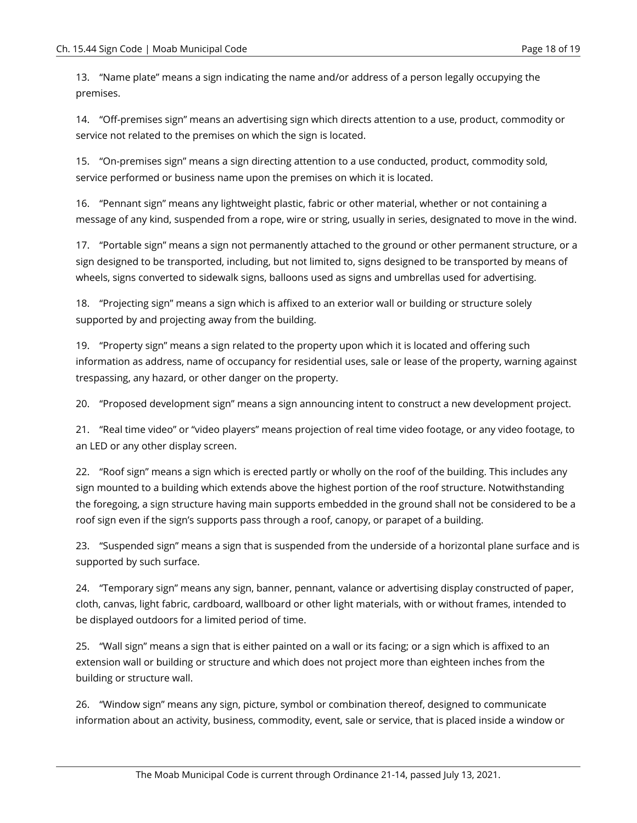13. "Name plate" means a sign indicating the name and/or address of a person legally occupying the premises.

14. "Off-premises sign" means an advertising sign which directs attention to a use, product, commodity or service not related to the premises on which the sign is located.

15. "On-premises sign" means a sign directing attention to a use conducted, product, commodity sold, service performed or business name upon the premises on which it is located.

16. "Pennant sign" means any lightweight plastic, fabric or other material, whether or not containing a message of any kind, suspended from a rope, wire or string, usually in series, designated to move in the wind.

17. "Portable sign" means a sign not permanently attached to the ground or other permanent structure, or a sign designed to be transported, including, but not limited to, signs designed to be transported by means of wheels, signs converted to sidewalk signs, balloons used as signs and umbrellas used for advertising.

18. "Projecting sign" means a sign which is affixed to an exterior wall or building or structure solely supported by and projecting away from the building.

19. "Property sign" means a sign related to the property upon which it is located and offering such information as address, name of occupancy for residential uses, sale or lease of the property, warning against trespassing, any hazard, or other danger on the property.

20. "Proposed development sign" means a sign announcing intent to construct a new development project.

21. "Real time video" or "video players" means projection of real time video footage, or any video footage, to an LED or any other display screen.

22. "Roof sign" means a sign which is erected partly or wholly on the roof of the building. This includes any sign mounted to a building which extends above the highest portion of the roof structure. Notwithstanding the foregoing, a sign structure having main supports embedded in the ground shall not be considered to be a roof sign even if the sign's supports pass through a roof, canopy, or parapet of a building.

23. "Suspended sign" means a sign that is suspended from the underside of a horizontal plane surface and is supported by such surface.

24. "Temporary sign" means any sign, banner, pennant, valance or advertising display constructed of paper, cloth, canvas, light fabric, cardboard, wallboard or other light materials, with or without frames, intended to be displayed outdoors for a limited period of time.

25. "Wall sign" means a sign that is either painted on a wall or its facing; or a sign which is affixed to an extension wall or building or structure and which does not project more than eighteen inches from the building or structure wall.

26. "Window sign" means any sign, picture, symbol or combination thereof, designed to communicate information about an activity, business, commodity, event, sale or service, that is placed inside a window or